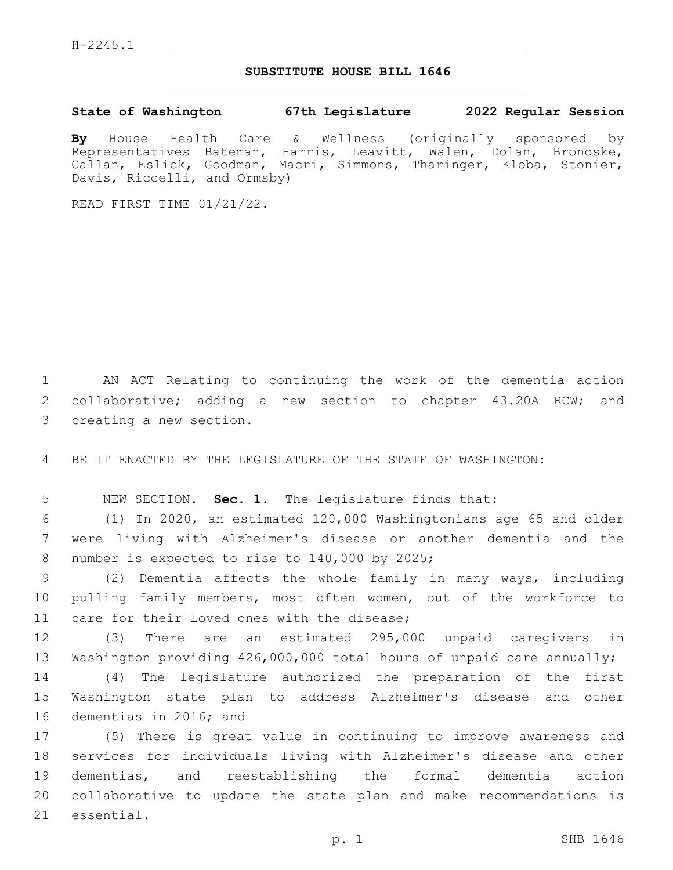## **SUBSTITUTE HOUSE BILL 1646**

**State of Washington 67th Legislature 2022 Regular Session**

**By** House Health Care & Wellness (originally sponsored by Representatives Bateman, Harris, Leavitt, Walen, Dolan, Bronoske, Callan, Eslick, Goodman, Macri, Simmons, Tharinger, Kloba, Stonier, Davis, Riccelli, and Ormsby)

READ FIRST TIME 01/21/22.

1 AN ACT Relating to continuing the work of the dementia action 2 collaborative; adding a new section to chapter 43.20A RCW; and 3 creating a new section.

4 BE IT ENACTED BY THE LEGISLATURE OF THE STATE OF WASHINGTON:

5 NEW SECTION. **Sec. 1.** The legislature finds that:

6 (1) In 2020, an estimated 120,000 Washingtonians age 65 and older 7 were living with Alzheimer's disease or another dementia and the 8 number is expected to rise to 140,000 by 2025;

9 (2) Dementia affects the whole family in many ways, including 10 pulling family members, most often women, out of the workforce to 11 care for their loved ones with the disease;

12 (3) There are an estimated 295,000 unpaid caregivers in 13 Washington providing 426,000,000 total hours of unpaid care annually;

14 (4) The legislature authorized the preparation of the first 15 Washington state plan to address Alzheimer's disease and other 16 dementias in 2016; and

 (5) There is great value in continuing to improve awareness and services for individuals living with Alzheimer's disease and other dementias, and reestablishing the formal dementia action collaborative to update the state plan and make recommendations is 21 essential.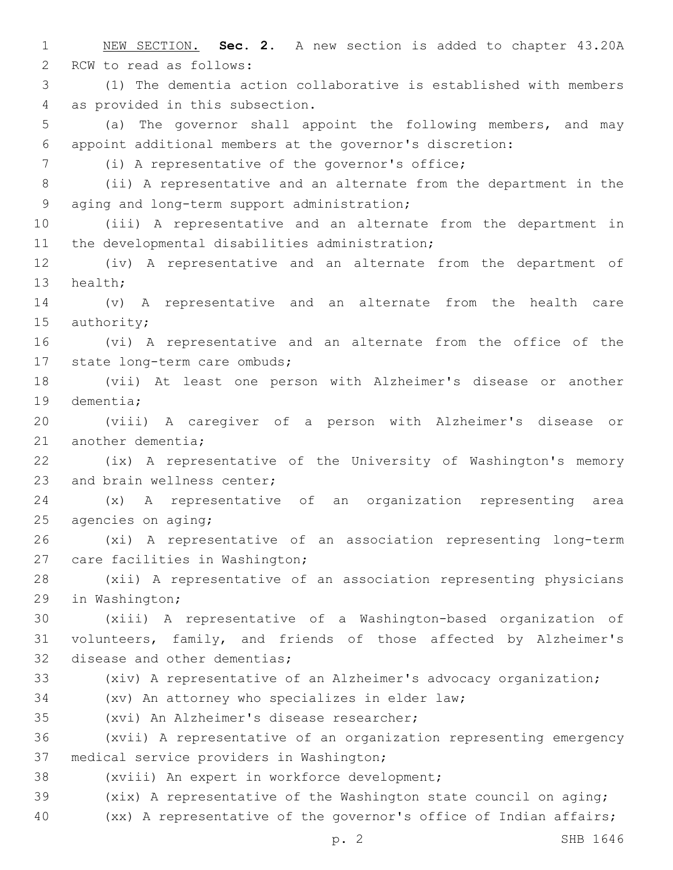1 NEW SECTION. **Sec. 2.** A new section is added to chapter 43.20A 2 RCW to read as follows: 3 (1) The dementia action collaborative is established with members 4 as provided in this subsection. 5 (a) The governor shall appoint the following members, and may 6 appoint additional members at the governor's discretion: (i) A representative of the governor's office;7 8 (ii) A representative and an alternate from the department in the 9 aging and long-term support administration; 10 (iii) A representative and an alternate from the department in 11 the developmental disabilities administration; 12 (iv) A representative and an alternate from the department of 13 health; 14 (v) A representative and an alternate from the health care 15 authority; 16 (vi) A representative and an alternate from the office of the 17 state long-term care ombuds; 18 (vii) At least one person with Alzheimer's disease or another 19 dementia; 20 (viii) A caregiver of a person with Alzheimer's disease or 21 another dementia; 22 (ix) A representative of the University of Washington's memory 23 and brain wellness center; 24 (x) A representative of an organization representing area  $25$  agencies on aging; 26 (xi) A representative of an association representing long-term 27 care facilities in Washington; 28 (xii) A representative of an association representing physicians 29 in Washington; 30 (xiii) A representative of a Washington-based organization of 31 volunteers, family, and friends of those affected by Alzheimer's 32 disease and other dementias; 33 (xiv) A representative of an Alzheimer's advocacy organization; 34 (xv) An attorney who specializes in elder law; 35 (xvi) An Alzheimer's disease researcher; 36 (xvii) A representative of an organization representing emergency 37 medical service providers in Washington; 38 (xviii) An expert in workforce development; 39 (xix) A representative of the Washington state council on aging; 40 (xx) A representative of the governor's office of Indian affairs;

p. 2 SHB 1646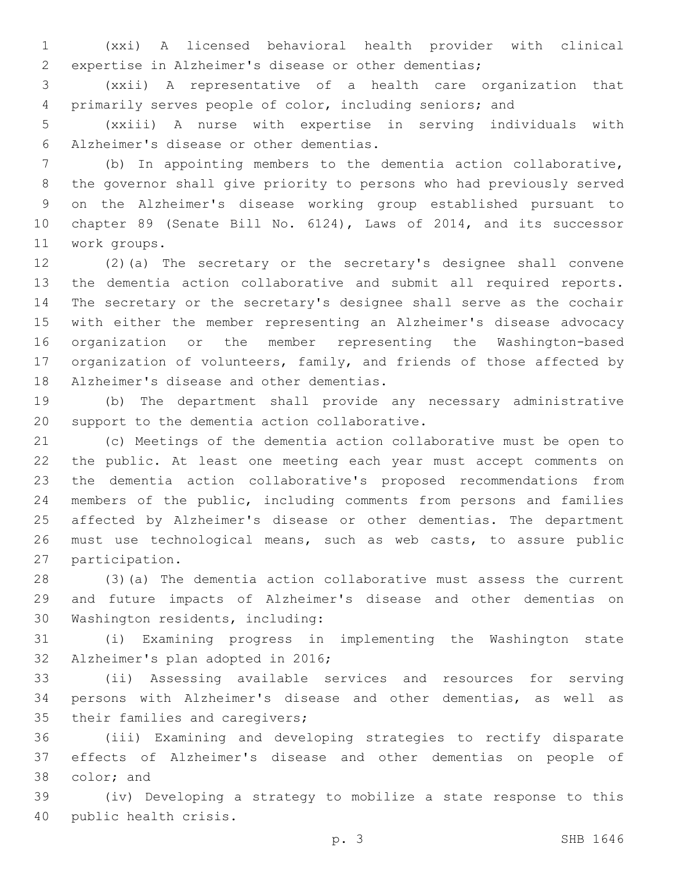(xxi) A licensed behavioral health provider with clinical expertise in Alzheimer's disease or other dementias;

 (xxii) A representative of a health care organization that primarily serves people of color, including seniors; and

 (xxiii) A nurse with expertise in serving individuals with Alzheimer's disease or other dementias.6

 (b) In appointing members to the dementia action collaborative, the governor shall give priority to persons who had previously served on the Alzheimer's disease working group established pursuant to chapter 89 (Senate Bill No. 6124), Laws of 2014, and its successor 11 work groups.

 (2)(a) The secretary or the secretary's designee shall convene the dementia action collaborative and submit all required reports. The secretary or the secretary's designee shall serve as the cochair with either the member representing an Alzheimer's disease advocacy organization or the member representing the Washington-based organization of volunteers, family, and friends of those affected by 18 Alzheimer's disease and other dementias.

 (b) The department shall provide any necessary administrative 20 support to the dementia action collaborative.

 (c) Meetings of the dementia action collaborative must be open to the public. At least one meeting each year must accept comments on the dementia action collaborative's proposed recommendations from members of the public, including comments from persons and families affected by Alzheimer's disease or other dementias. The department must use technological means, such as web casts, to assure public 27 participation.

 (3)(a) The dementia action collaborative must assess the current and future impacts of Alzheimer's disease and other dementias on 30 Washington residents, including:

 (i) Examining progress in implementing the Washington state 32 Alzheimer's plan adopted in 2016;

 (ii) Assessing available services and resources for serving persons with Alzheimer's disease and other dementias, as well as 35 their families and caregivers;

 (iii) Examining and developing strategies to rectify disparate effects of Alzheimer's disease and other dementias on people of 38 color; and

 (iv) Developing a strategy to mobilize a state response to this 40 public health crisis.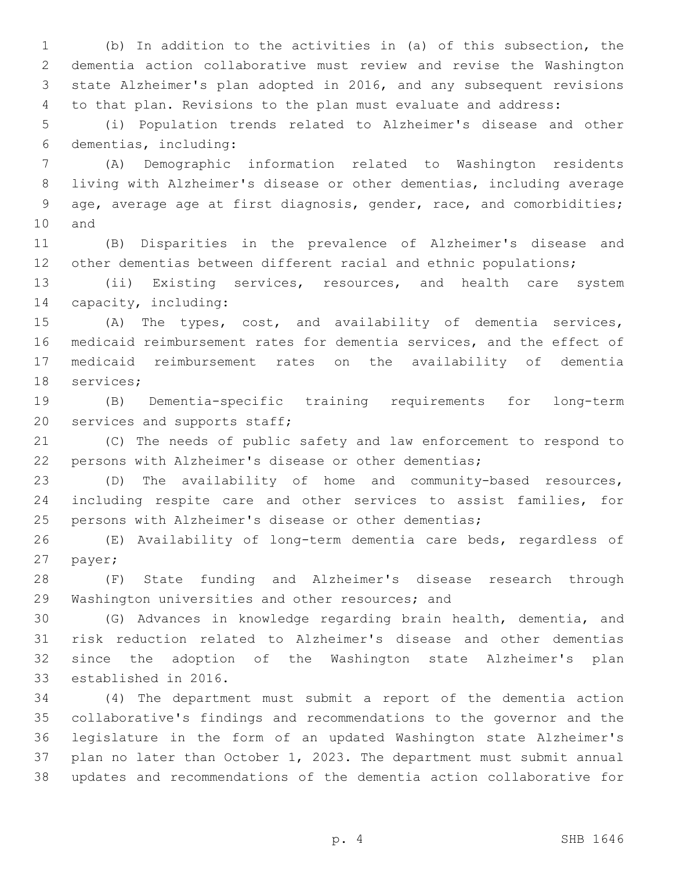(b) In addition to the activities in (a) of this subsection, the dementia action collaborative must review and revise the Washington state Alzheimer's plan adopted in 2016, and any subsequent revisions to that plan. Revisions to the plan must evaluate and address:

 (i) Population trends related to Alzheimer's disease and other dementias, including:6

 (A) Demographic information related to Washington residents living with Alzheimer's disease or other dementias, including average age, average age at first diagnosis, gender, race, and comorbidities; 10 and

 (B) Disparities in the prevalence of Alzheimer's disease and 12 other dementias between different racial and ethnic populations;

 (ii) Existing services, resources, and health care system 14 capacity, including:

 (A) The types, cost, and availability of dementia services, medicaid reimbursement rates for dementia services, and the effect of medicaid reimbursement rates on the availability of dementia 18 services;

 (B) Dementia-specific training requirements for long-term 20 services and supports staff;

 (C) The needs of public safety and law enforcement to respond to persons with Alzheimer's disease or other dementias;

 (D) The availability of home and community-based resources, including respite care and other services to assist families, for persons with Alzheimer's disease or other dementias;

 (E) Availability of long-term dementia care beds, regardless of 27 payer;

 (F) State funding and Alzheimer's disease research through 29 Washington universities and other resources; and

 (G) Advances in knowledge regarding brain health, dementia, and risk reduction related to Alzheimer's disease and other dementias since the adoption of the Washington state Alzheimer's plan 33 established in 2016.

 (4) The department must submit a report of the dementia action collaborative's findings and recommendations to the governor and the legislature in the form of an updated Washington state Alzheimer's plan no later than October 1, 2023. The department must submit annual updates and recommendations of the dementia action collaborative for